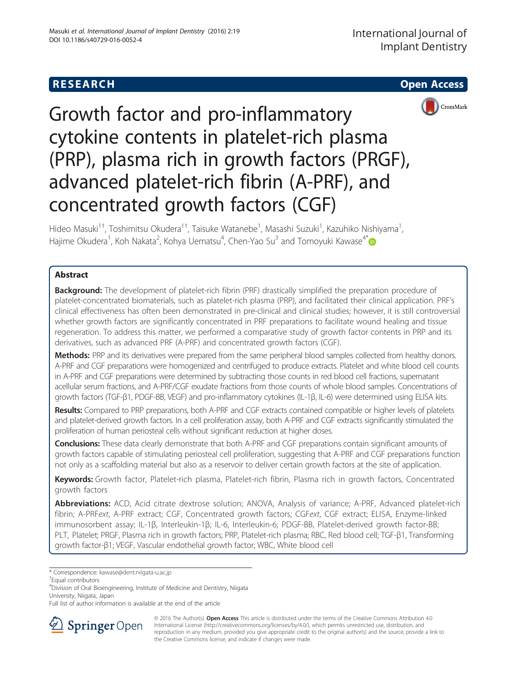# **RESEARCH CHEAR CHEAR CHEAR CHEAR CHEAR CHEAR CHEAR CHEAR CHEAR CHEAR CHEAR CHEAR CHEAR CHEAR CHEAR CHEAR CHEAR**





Growth factor and pro-inflammatory cytokine contents in platelet-rich plasma (PRP), plasma rich in growth factors (PRGF), advanced platelet-rich fibrin (A-PRF), and concentrated growth factors (CGF)

Hideo Masuki<sup>1†</sup>, Toshimitsu Okudera<sup>1†</sup>, Taisuke Watanebe<sup>1</sup>, Masashi Suzuki<sup>1</sup>, Kazuhiko Nishiyama<sup>1</sup> , Hajime Okudera<sup>1</sup>, Koh Nakata<sup>2</sup>, Kohya Uematsu<sup>4</sup>, Chen-Yao Su<sup>3</sup> and Tomoyuki Kawase<sup>4\*</sup>

# Abstract

**Background:** The development of platelet-rich fibrin (PRF) drastically simplified the preparation procedure of platelet-concentrated biomaterials, such as platelet-rich plasma (PRP), and facilitated their clinical application. PRF's clinical effectiveness has often been demonstrated in pre-clinical and clinical studies; however, it is still controversial whether growth factors are significantly concentrated in PRF preparations to facilitate wound healing and tissue regeneration. To address this matter, we performed a comparative study of growth factor contents in PRP and its derivatives, such as advanced PRF (A-PRF) and concentrated growth factors (CGF).

Methods: PRP and its derivatives were prepared from the same peripheral blood samples collected from healthy donors. A-PRF and CGF preparations were homogenized and centrifuged to produce extracts. Platelet and white blood cell counts in A-PRF and CGF preparations were determined by subtracting those counts in red blood cell fractions, supernatant acellular serum fractions, and A-PRF/CGF exudate fractions from those counts of whole blood samples. Concentrations of growth factors (TGF-β1, PDGF-BB, VEGF) and pro-inflammatory cytokines (IL-1β, IL-6) were determined using ELISA kits.

Results: Compared to PRP preparations, both A-PRF and CGF extracts contained compatible or higher levels of platelets and platelet-derived growth factors. In a cell proliferation assay, both A-PRF and CGF extracts significantly stimulated the proliferation of human periosteal cells without significant reduction at higher doses.

Conclusions: These data clearly demonstrate that both A-PRF and CGF preparations contain significant amounts of growth factors capable of stimulating periosteal cell proliferation, suggesting that A-PRF and CGF preparations function not only as a scaffolding material but also as a reservoir to deliver certain growth factors at the site of application.

Keywords: Growth factor, Platelet-rich plasma, Platelet-rich fibrin, Plasma rich in growth factors, Concentrated growth factors

Abbreviations: ACD, Acid citrate dextrose solution; ANOVA, Analysis of variance; A-PRF, Advanced platelet-rich fibrin; A-PRFext, A-PRF extract; CGF, Concentrated growth factors; CGFext, CGF extract; ELISA, Enzyme-linked immunosorbent assay; IL-1β, Interleukin-1β; IL-6, Interleukin-6; PDGF-BB, Platelet-derived growth factor-BB; PLT, Platelet; PRGF, Plasma rich in growth factors; PRP, Platelet-rich plasma; RBC, Red blood cell; TGF-β1, Transforming growth factor-β1; VEGF, Vascular endothelial growth factor; WBC, White blood cell

Full list of author information is available at the end of the article



<sup>© 2016</sup> The Author(s). Open Access This article is distributed under the terms of the Creative Commons Attribution 4.0 International License ([http://creativecommons.org/licenses/by/4.0/\)](http://creativecommons.org/licenses/by/4.0/), which permits unrestricted use, distribution, and reproduction in any medium, provided you give appropriate credit to the original author(s) and the source, provide a link to the Creative Commons license, and indicate if changes were made.

<sup>\*</sup> Correspondence: [kawase@dent.niigata-u.ac.jp](mailto:kawase@dent.niigata-u.ac.jp) †

Equal contributors

<sup>4</sup> Division of Oral Bioengineering, Institute of Medicine and Dentistry, Niigata University, Niigata, Japan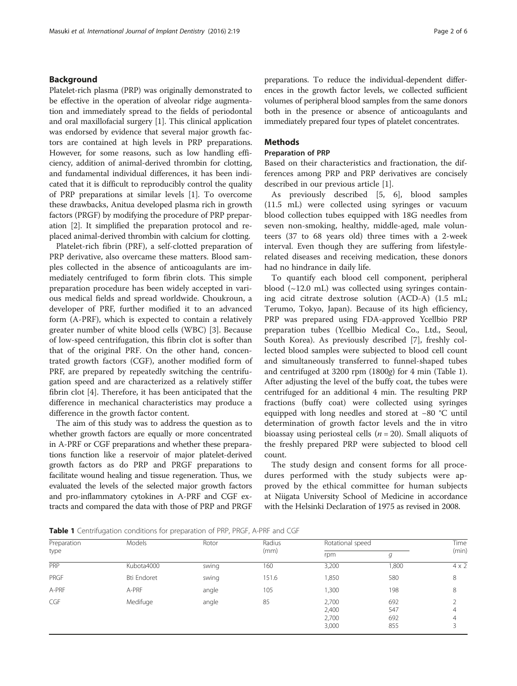# <span id="page-1-0"></span>Background

Platelet-rich plasma (PRP) was originally demonstrated to be effective in the operation of alveolar ridge augmentation and immediately spread to the fields of periodontal and oral maxillofacial surgery [[1](#page-5-0)]. This clinical application was endorsed by evidence that several major growth factors are contained at high levels in PRP preparations. However, for some reasons, such as low handling efficiency, addition of animal-derived thrombin for clotting, and fundamental individual differences, it has been indicated that it is difficult to reproducibly control the quality of PRP preparations at similar levels [\[1](#page-5-0)]. To overcome these drawbacks, Anitua developed plasma rich in growth factors (PRGF) by modifying the procedure of PRP preparation [[2](#page-5-0)]. It simplified the preparation protocol and replaced animal-derived thrombin with calcium for clotting.

Platelet-rich fibrin (PRF), a self-clotted preparation of PRP derivative, also overcame these matters. Blood samples collected in the absence of anticoagulants are immediately centrifuged to form fibrin clots. This simple preparation procedure has been widely accepted in various medical fields and spread worldwide. Choukroun, a developer of PRF, further modified it to an advanced form (A-PRF), which is expected to contain a relatively greater number of white blood cells (WBC) [\[3](#page-5-0)]. Because of low-speed centrifugation, this fibrin clot is softer than that of the original PRF. On the other hand, concentrated growth factors (CGF), another modified form of PRF, are prepared by repeatedly switching the centrifugation speed and are characterized as a relatively stiffer fibrin clot [[4](#page-5-0)]. Therefore, it has been anticipated that the difference in mechanical characteristics may produce a difference in the growth factor content.

The aim of this study was to address the question as to whether growth factors are equally or more concentrated in A-PRF or CGF preparations and whether these preparations function like a reservoir of major platelet-derived growth factors as do PRP and PRGF preparations to facilitate wound healing and tissue regeneration. Thus, we evaluated the levels of the selected major growth factors and pro-inflammatory cytokines in A-PRF and CGF extracts and compared the data with those of PRP and PRGF preparations. To reduce the individual-dependent differences in the growth factor levels, we collected sufficient volumes of peripheral blood samples from the same donors both in the presence or absence of anticoagulants and immediately prepared four types of platelet concentrates.

## **Methods**

#### Preparation of PRP

Based on their characteristics and fractionation, the differences among PRP and PRP derivatives are concisely described in our previous article [\[1](#page-5-0)].

As previously described [\[5](#page-5-0), [6](#page-5-0)], blood samples (11.5 mL) were collected using syringes or vacuum blood collection tubes equipped with 18G needles from seven non-smoking, healthy, middle-aged, male volunteers (37 to 68 years old) three times with a 2-week interval. Even though they are suffering from lifestylerelated diseases and receiving medication, these donors had no hindrance in daily life.

To quantify each blood cell component, peripheral blood  $(\sim 12.0 \text{ mL})$  was collected using syringes containing acid citrate dextrose solution (ACD-A) (1.5 mL; Terumo, Tokyo, Japan). Because of its high efficiency, PRP was prepared using FDA-approved Ycellbio PRP preparation tubes (Ycellbio Medical Co., Ltd., Seoul, South Korea). As previously described [\[7](#page-5-0)], freshly collected blood samples were subjected to blood cell count and simultaneously transferred to funnel-shaped tubes and centrifuged at 3200 rpm (1800g) for 4 min (Table 1). After adjusting the level of the buffy coat, the tubes were centrifuged for an additional 4 min. The resulting PRP fractions (buffy coat) were collected using syringes equipped with long needles and stored at −80 °C until determination of growth factor levels and the in vitro bioassay using periosteal cells ( $n = 20$ ). Small aliquots of the freshly prepared PRP were subjected to blood cell count.

The study design and consent forms for all procedures performed with the study subjects were approved by the ethical committee for human subjects at Niigata University School of Medicine in accordance with the Helsinki Declaration of 1975 as revised in 2008.

Table 1 Centrifugation conditions for preparation of PRP, PRGF, A-PRF and CGF

| Preparation<br>type | Models      | Rotor | Radius<br>(mm) | Rotational speed                 |                          | Time         |
|---------------------|-------------|-------|----------------|----------------------------------|--------------------------|--------------|
|                     |             |       |                | rpm                              | g                        | (min)        |
| <b>PRP</b>          | Kubota4000  | swing | 160            | 3,200                            | 1,800                    | $4 \times 2$ |
| PRGF                | Bti Endoret | swing | 151.6          | 1,850                            | 580                      | 8            |
| A-PRF               | A-PRF       | angle | 105            | 1,300                            | 198                      | 8            |
| CGF                 | Medifuge    | angle | 85             | 2,700<br>2,400<br>2,700<br>3,000 | 692<br>547<br>692<br>855 | 4<br>4<br>3  |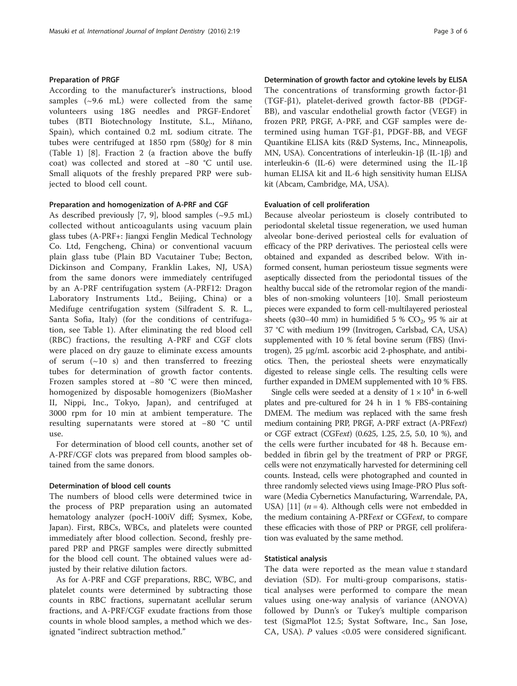#### Preparation of PRGF

According to the manufacturer's instructions, blood samples  $(\sim 9.6$  mL) were collected from the same volunteers using 18G needles and PRGF-Endoret tubes (BTI Biotechnology Institute, S.L., Miñano, Spain), which contained 0.2 mL sodium citrate. The tubes were centrifuged at 1850 rpm (580g) for 8 min (Table [1\)](#page-1-0) [[8\]](#page-5-0). Fraction 2 (a fraction above the buffy coat) was collected and stored at −80 °C until use. Small aliquots of the freshly prepared PRP were subjected to blood cell count.

#### Preparation and homogenization of A-PRF and CGF

As described previously [\[7](#page-5-0), [9](#page-5-0)], blood samples  $(\sim 9.5 \text{ mL})$ collected without anticoagulants using vacuum plain glass tubes (A-PRF+: Jiangxi Fenglin Medical Technology Co. Ltd, Fengcheng, China) or conventional vacuum plain glass tube (Plain BD Vacutainer Tube; Becton, Dickinson and Company, Franklin Lakes, NJ, USA) from the same donors were immediately centrifuged by an A-PRF centrifugation system (A-PRF12: Dragon Laboratory Instruments Ltd., Beijing, China) or a Medifuge centrifugation system (Silfradent S. R. L., Santa Sofia, Italy) (for the conditions of centrifugation, see Table [1\)](#page-1-0). After eliminating the red blood cell (RBC) fractions, the resulting A-PRF and CGF clots were placed on dry gauze to eliminate excess amounts of serum  $(\sim 10 \text{ s})$  and then transferred to freezing tubes for determination of growth factor contents. Frozen samples stored at −80 °C were then minced, homogenized by disposable homogenizers (BioMasher II, Nippi, Inc., Tokyo, Japan), and centrifuged at 3000 rpm for 10 min at ambient temperature. The resulting supernatants were stored at −80 °C until  $_{11}$ se.

For determination of blood cell counts, another set of A-PRF/CGF clots was prepared from blood samples obtained from the same donors.

#### Determination of blood cell counts

The numbers of blood cells were determined twice in the process of PRP preparation using an automated hematology analyzer (pocH-100iV diff; Sysmex, Kobe, Japan). First, RBCs, WBCs, and platelets were counted immediately after blood collection. Second, freshly prepared PRP and PRGF samples were directly submitted for the blood cell count. The obtained values were adjusted by their relative dilution factors.

As for A-PRF and CGF preparations, RBC, WBC, and platelet counts were determined by subtracting those counts in RBC fractions, supernatant acellular serum fractions, and A-PRF/CGF exudate fractions from those counts in whole blood samples, a method which we designated "indirect subtraction method."

Determination of growth factor and cytokine levels by ELISA The concentrations of transforming growth factor-β1 (TGF-β1), platelet-derived growth factor-BB (PDGF-BB), and vascular endothelial growth factor (VEGF) in frozen PRP, PRGF, A-PRF, and CGF samples were determined using human TGF-β1, PDGF-BB, and VEGF Quantikine ELISA kits (R&D Systems, Inc., Minneapolis, MN, USA). Concentrations of interleukin-1β (IL-1β) and interleukin-6 (IL-6) were determined using the IL-1β human ELISA kit and IL-6 high sensitivity human ELISA kit (Abcam, Cambridge, MA, USA).

#### Evaluation of cell proliferation

Because alveolar periosteum is closely contributed to periodontal skeletal tissue regeneration, we used human alveolar bone-derived periosteal cells for evaluation of efficacy of the PRP derivatives. The periosteal cells were obtained and expanded as described below. With informed consent, human periosteum tissue segments were aseptically dissected from the periodontal tissues of the healthy buccal side of the retromolar region of the mandibles of non-smoking volunteers [\[10\]](#page-5-0). Small periosteum pieces were expanded to form cell-multilayered periosteal sheets ( $\phi$ 30–40 mm) in humidified 5 % CO<sub>2</sub>, 95 % air at 37 °C with medium 199 (Invitrogen, Carlsbad, CA, USA) supplemented with 10 % fetal bovine serum (FBS) (Invitrogen), 25 μg/mL ascorbic acid 2-phosphate, and antibiotics. Then, the periosteal sheets were enzymatically digested to release single cells. The resulting cells were further expanded in DMEM supplemented with 10 % FBS.

Single cells were seeded at a density of  $1 \times 10^4$  in 6-well plates and pre-cultured for 24 h in 1 % FBS-containing DMEM. The medium was replaced with the same fresh medium containing PRP, PRGF, A-PRF extract (A-PRFext) or CGF extract (CGFext) (0.625, 1.25, 2.5, 5.0, 10 %), and the cells were further incubated for 48 h. Because embedded in fibrin gel by the treatment of PRP or PRGF, cells were not enzymatically harvested for determining cell counts. Instead, cells were photographed and counted in three randomly selected views using Image-PRO Plus software (Media Cybernetics Manufacturing, Warrendale, PA, USA) [[11](#page-5-0)]  $(n = 4)$ . Although cells were not embedded in the medium containing A-PRFext or CGFext, to compare these efficacies with those of PRP or PRGF, cell proliferation was evaluated by the same method.

#### Statistical analysis

The data were reported as the mean value  $\pm$  standard deviation (SD). For multi-group comparisons, statistical analyses were performed to compare the mean values using one-way analysis of variance (ANOVA) followed by Dunn's or Tukey's multiple comparison test (SigmaPlot 12.5; Systat Software, Inc., San Jose, CA, USA). P values <0.05 were considered significant.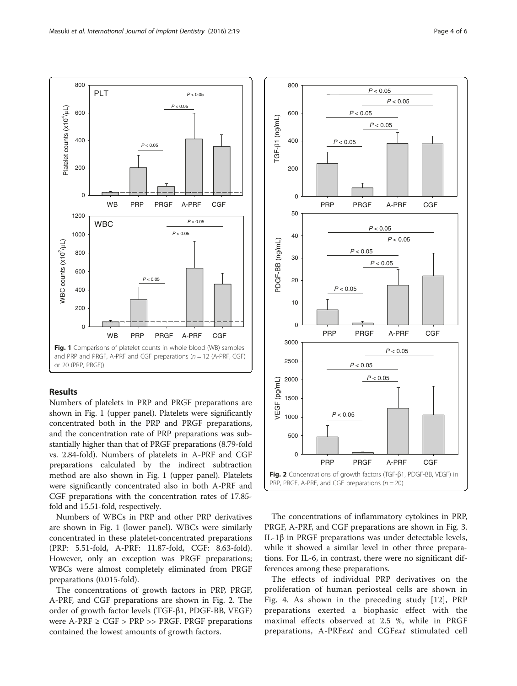

# Results

Numbers of platelets in PRP and PRGF preparations are shown in Fig. 1 (upper panel). Platelets were significantly concentrated both in the PRP and PRGF preparations, and the concentration rate of PRP preparations was substantially higher than that of PRGF preparations (8.79-fold vs. 2.84-fold). Numbers of platelets in A-PRF and CGF preparations calculated by the indirect subtraction method are also shown in Fig. 1 (upper panel). Platelets were significantly concentrated also in both A-PRF and CGF preparations with the concentration rates of 17.85 fold and 15.51-fold, respectively.

Numbers of WBCs in PRP and other PRP derivatives are shown in Fig. 1 (lower panel). WBCs were similarly concentrated in these platelet-concentrated preparations (PRP: 5.51-fold, A-PRF: 11.87-fold, CGF: 8.63-fold). However, only an exception was PRGF preparations; WBCs were almost completely eliminated from PRGF preparations (0.015-fold).

The concentrations of growth factors in PRP, PRGF, A-PRF, and CGF preparations are shown in Fig. 2. The order of growth factor levels (TGF-β1, PDGF-BB, VEGF) were  $A-PRF \geq CGF > PRP >> PRGF$ . PRGF preparations contained the lowest amounts of growth factors.



The concentrations of inflammatory cytokines in PRP, PRGF, A-PRF, and CGF preparations are shown in Fig. [3](#page-4-0). IL-1β in PRGF preparations was under detectable levels, while it showed a similar level in other three preparations. For IL-6, in contrast, there were no significant differences among these preparations.

The effects of individual PRP derivatives on the proliferation of human periosteal cells are shown in Fig. [4.](#page-4-0) As shown in the preceding study [[12\]](#page-5-0), PRP preparations exerted a biophasic effect with the maximal effects observed at 2.5 %, while in PRGF preparations, A-PRFext and CGFext stimulated cell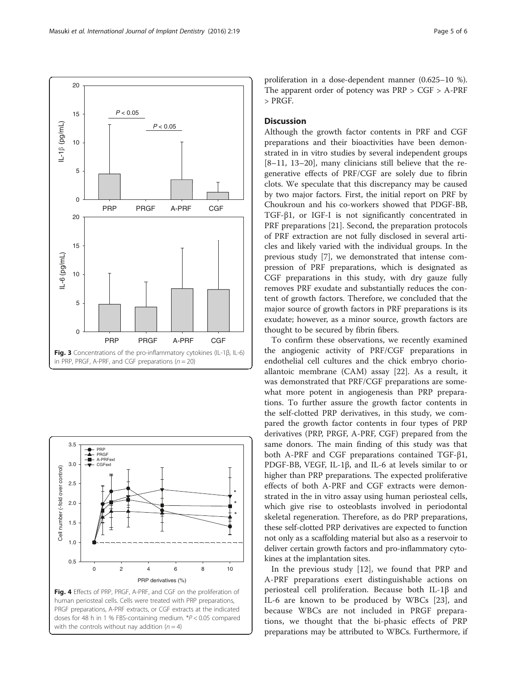<span id="page-4-0"></span>



human periosteal cells. Cells were treated with PRP preparations, PRGF preparations, A-PRF extracts, or CGF extracts at the indicated doses for 48 h in 1 % FBS-containing medium. \*P < 0.05 compared with the controls without nay addition  $(n = 4)$ 

proliferation in a dose-dependent manner (0.625–10 %). The apparent order of potency was PRP > CGF > A-PRF > PRGF.

### **Discussion**

Although the growth factor contents in PRF and CGF preparations and their bioactivities have been demonstrated in in vitro studies by several independent groups [[8](#page-5-0)–[11, 13](#page-5-0)–[20](#page-5-0)], many clinicians still believe that the regenerative effects of PRF/CGF are solely due to fibrin clots. We speculate that this discrepancy may be caused by two major factors. First, the initial report on PRF by Choukroun and his co-workers showed that PDGF-BB, TGF-β1, or IGF-I is not significantly concentrated in PRF preparations [[21](#page-5-0)]. Second, the preparation protocols of PRF extraction are not fully disclosed in several articles and likely varied with the individual groups. In the previous study [[7\]](#page-5-0), we demonstrated that intense compression of PRF preparations, which is designated as CGF preparations in this study, with dry gauze fully removes PRF exudate and substantially reduces the content of growth factors. Therefore, we concluded that the major source of growth factors in PRF preparations is its exudate; however, as a minor source, growth factors are thought to be secured by fibrin fibers.

To confirm these observations, we recently examined the angiogenic activity of PRF/CGF preparations in endothelial cell cultures and the chick embryo chorioallantoic membrane (CAM) assay [[22\]](#page-5-0). As a result, it was demonstrated that PRF/CGF preparations are somewhat more potent in angiogenesis than PRP preparations. To further assure the growth factor contents in the self-clotted PRP derivatives, in this study, we compared the growth factor contents in four types of PRP derivatives (PRP, PRGF, A-PRF, CGF) prepared from the same donors. The main finding of this study was that both A-PRF and CGF preparations contained TGF-β1, PDGF-BB, VEGF, IL-1β, and IL-6 at levels similar to or higher than PRP preparations. The expected proliferative effects of both A-PRF and CGF extracts were demonstrated in the in vitro assay using human periosteal cells, which give rise to osteoblasts involved in periodontal skeletal regeneration. Therefore, as do PRP preparations, these self-clotted PRP derivatives are expected to function not only as a scaffolding material but also as a reservoir to deliver certain growth factors and pro-inflammatory cytokines at the implantation sites.

In the previous study [[12\]](#page-5-0), we found that PRP and A-PRF preparations exert distinguishable actions on periosteal cell proliferation. Because both IL-1β and IL-6 are known to be produced by WBCs [[23\]](#page-5-0), and because WBCs are not included in PRGF preparations, we thought that the bi-phasic effects of PRP preparations may be attributed to WBCs. Furthermore, if